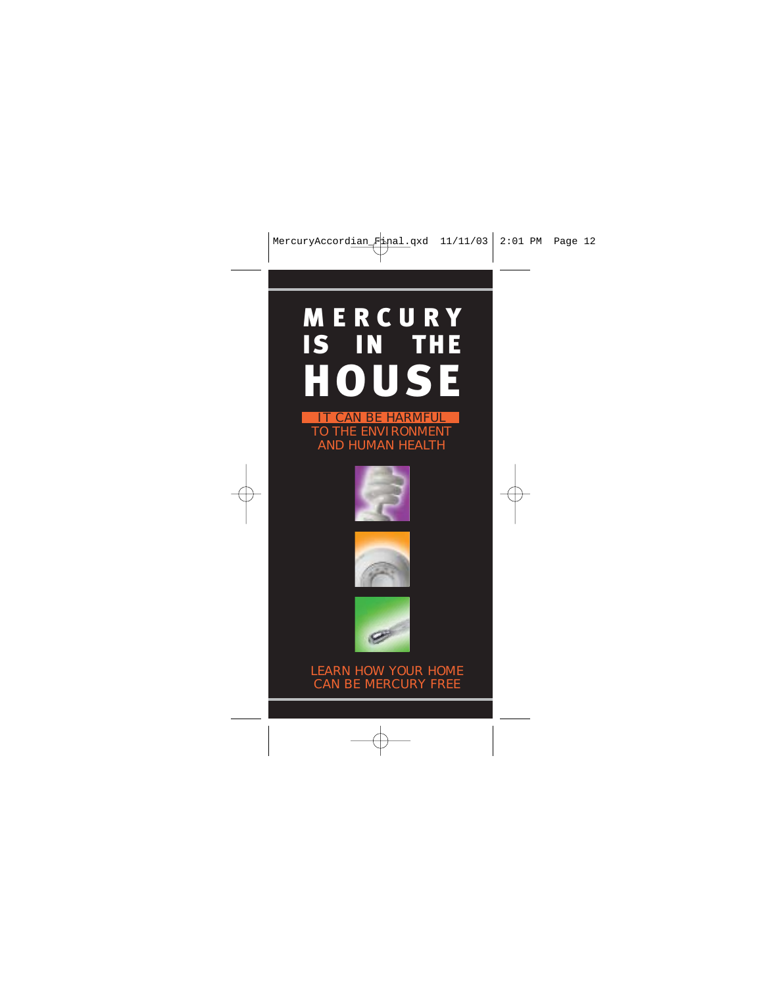# MERCURY IS IN THE HOUSE IT CAN BE HARMFUL

TO THE ENVIRONMENT AND HUMAN HEALTH







#### LEARN HOW YOUR HOME CAN BE MERCURY FREE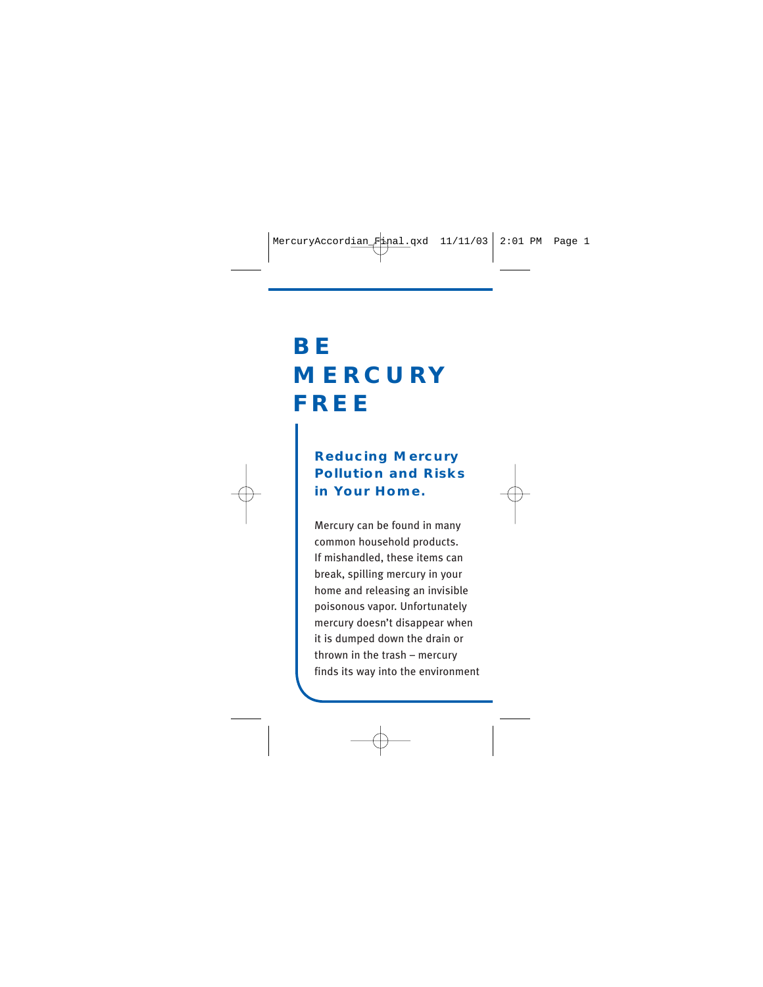# **BE MERCURY FREE**

### **Reducing Mercury Pollution and Risks in Your Home.**

Mercury can be found in many common household products. If mishandled, these items can break, spilling mercury in your home and releasing an invisible poisonous vapor. Unfortunately mercury doesn't disappear when it is dumped down the drain or thrown in the trash – mercury finds its way into the environment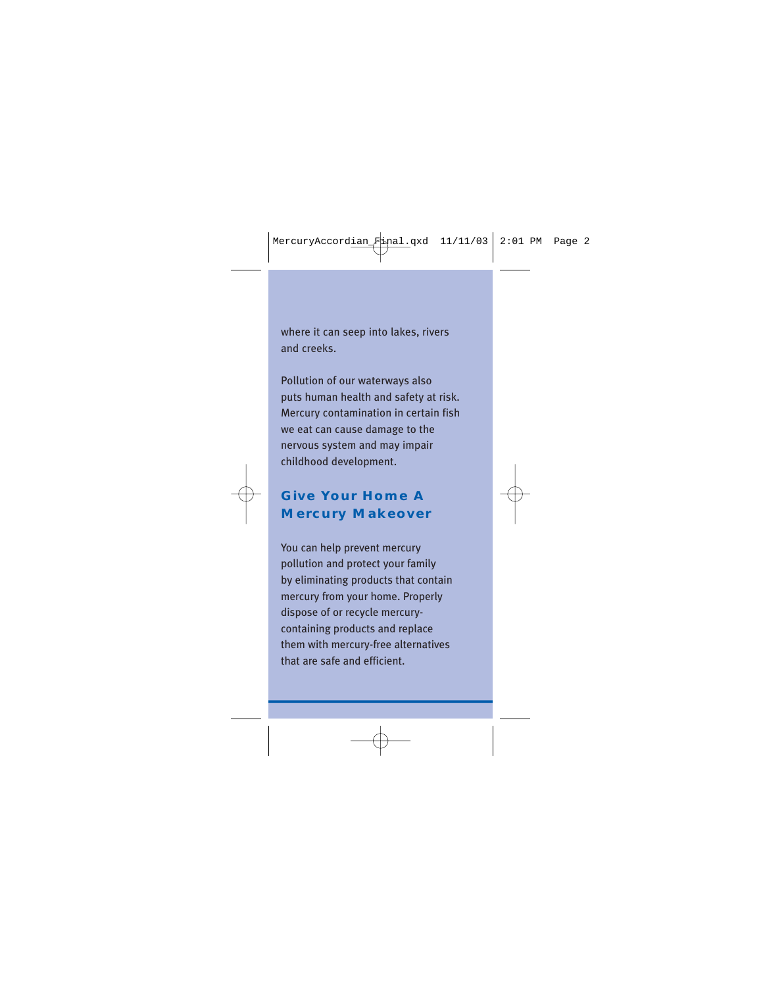where it can seep into lakes, rivers and creeks.

Pollution of our waterways also puts human health and safety at risk. Mercury contamination in certain fish we eat can cause damage to the nervous system and may impair childhood development.

### **Give Your Home A Mercury Makeover**

You can help prevent mercury pollution and protect your family by eliminating products that contain mercury from your home. Properly dispose of or recycle mercurycontaining products and replace them with mercury-free alternatives that are safe and efficient.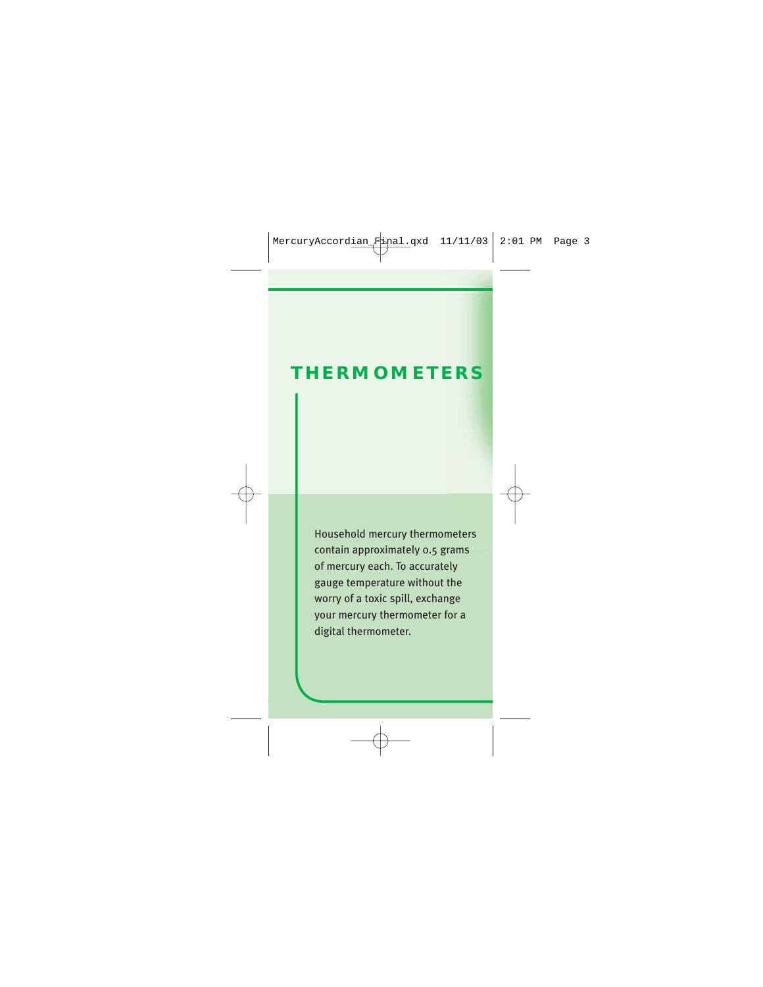## **THERMOMETERS**

Household mercury thermometers contain approximately 0.5 grams of mercury each. To accurately gauge temperature without the worry of a toxic spill, exchange your mercury thermometer for a digital thermometer.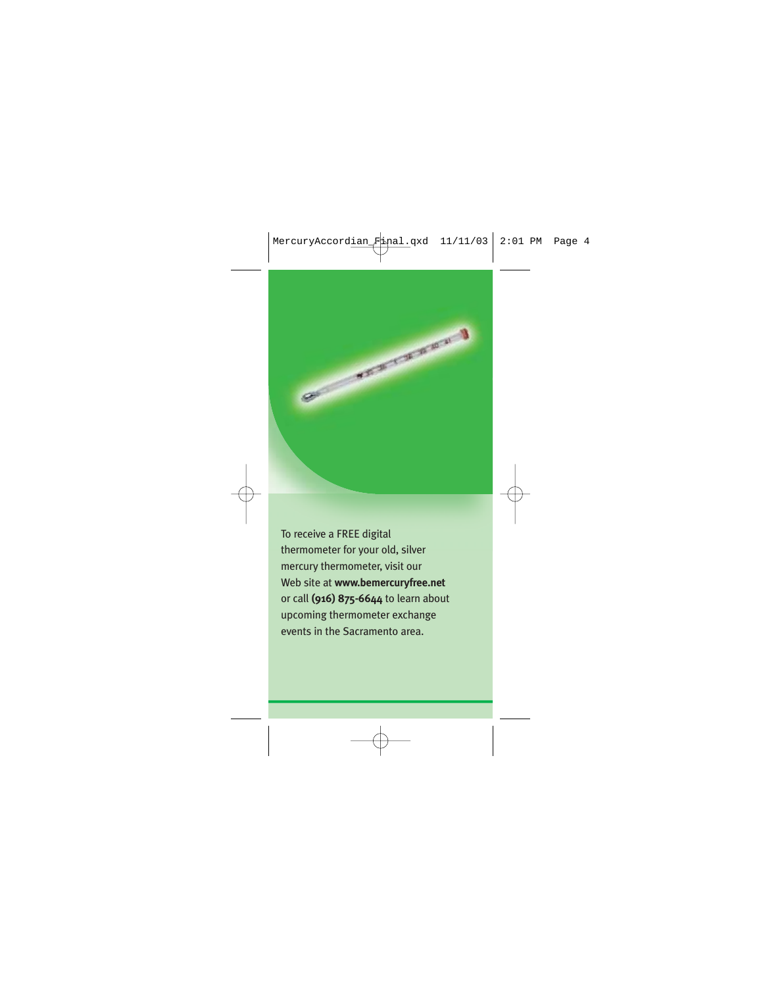

To receive a FREE digital thermometer for your old, silver mercury thermometer, visit our Web site at **www.bemercuryfree.net** or call **(916) 875-6644** to learn about upcoming thermometer exchange events in the Sacramento area.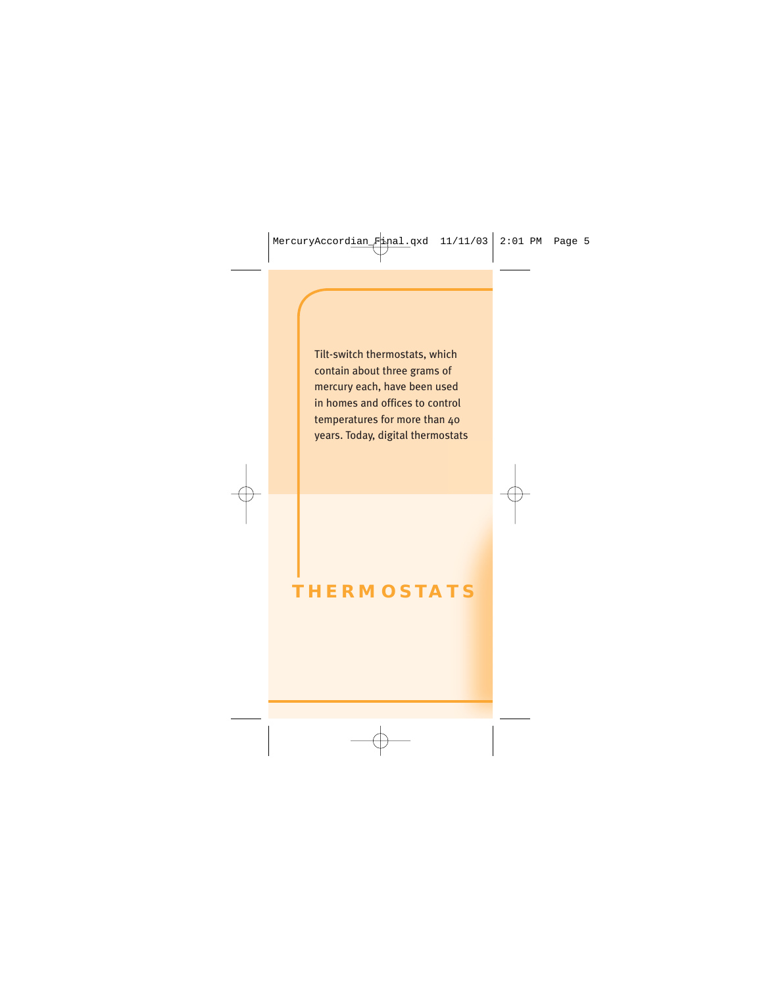Tilt-switch thermostats, which contain about three grams of mercury each, have been used in homes and offices to control temperatures for more than 40 years. Today, digital thermostats

## **THERMOSTATS**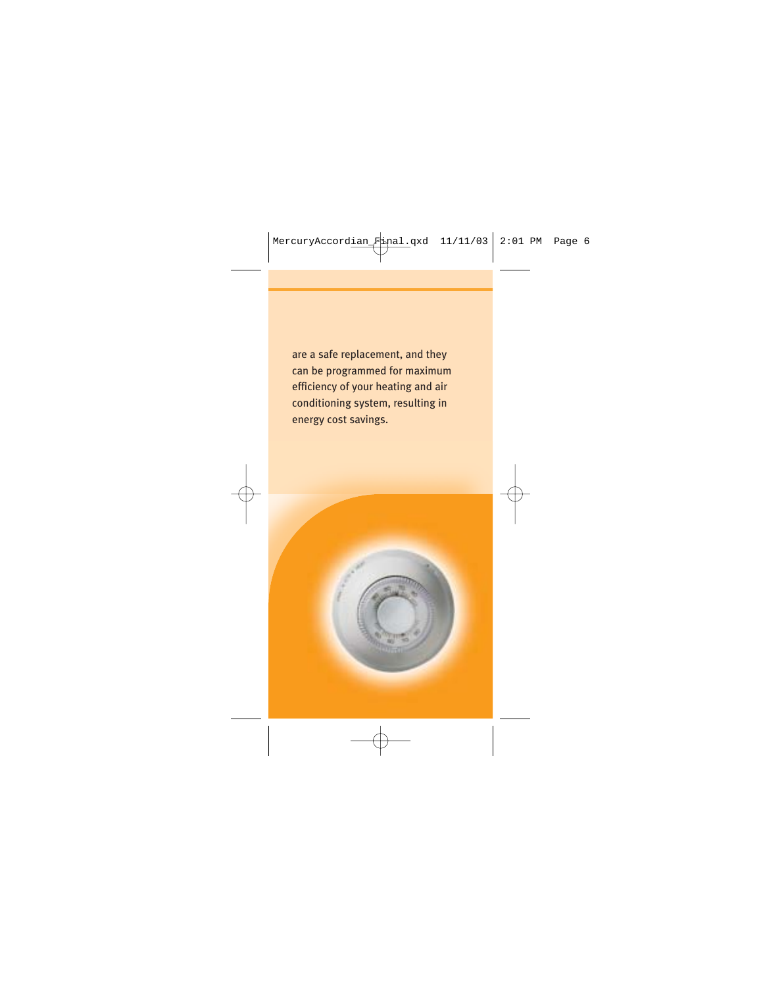are a safe replacement, and they can be programmed for maximum efficiency of your heating and air conditioning system, resulting in energy cost savings.

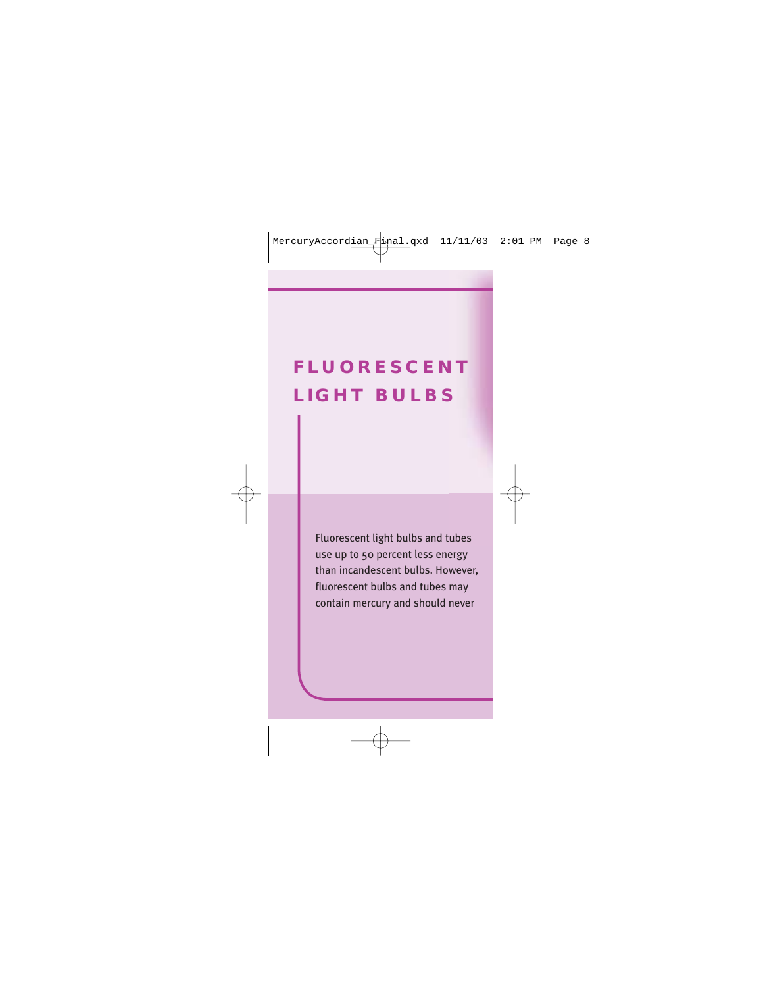# **FLUORESCENT LIGHT BULBS**

Fluorescent light bulbs and tubes use up to 50 percent less energy than incandescent bulbs. However, fluorescent bulbs and tubes may contain mercury and should never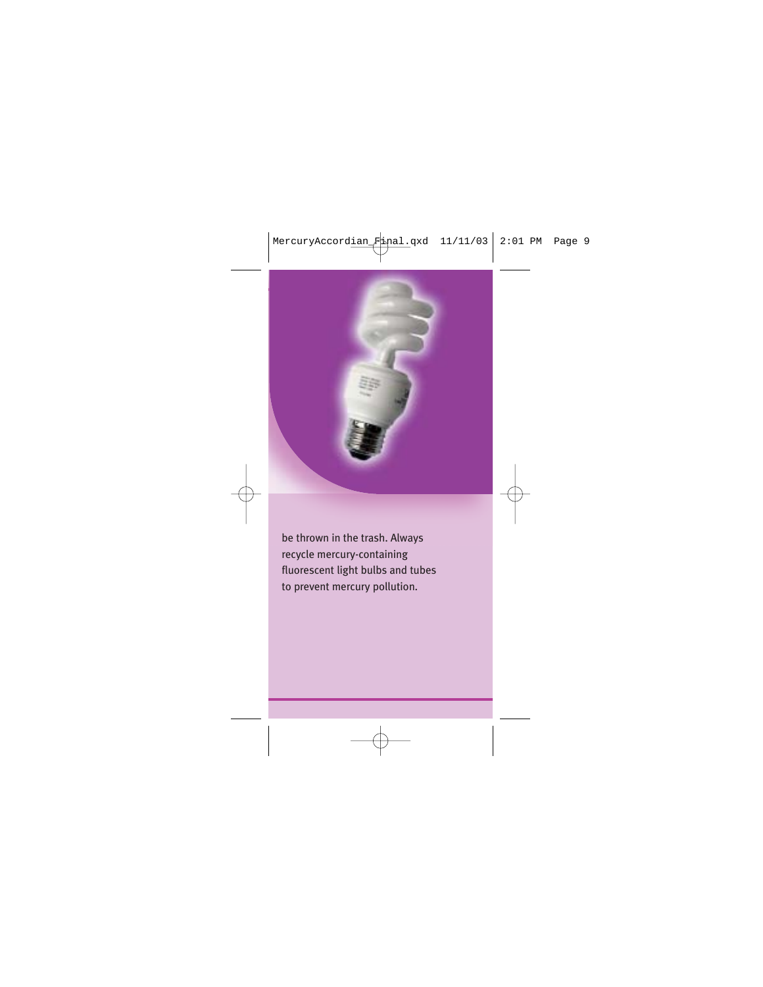

be thrown in the trash. Always recycle mercury-containing fluorescent light bulbs and tubes to prevent mercury pollution.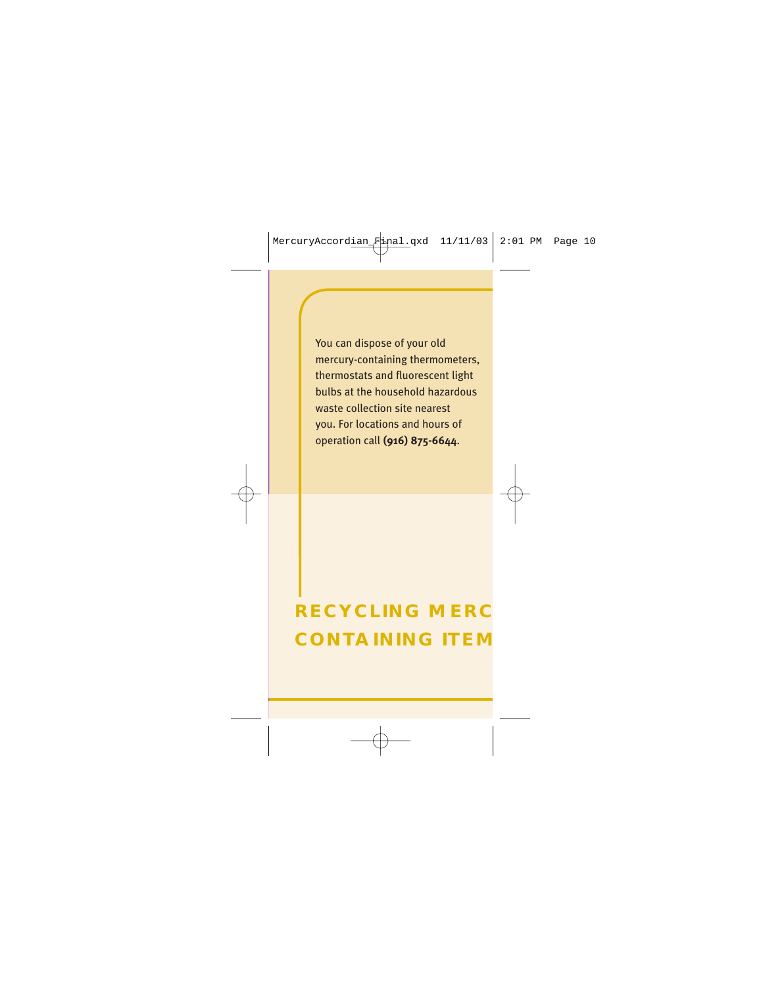You can dispose of your old mercury-containing thermometers, thermostats and fluorescent light bulbs at the household hazardous waste collection site nearest you. For locations and hours of operation call **(916) 875-6644**.

# **RECYCLING MERC CONTAINING ITEM**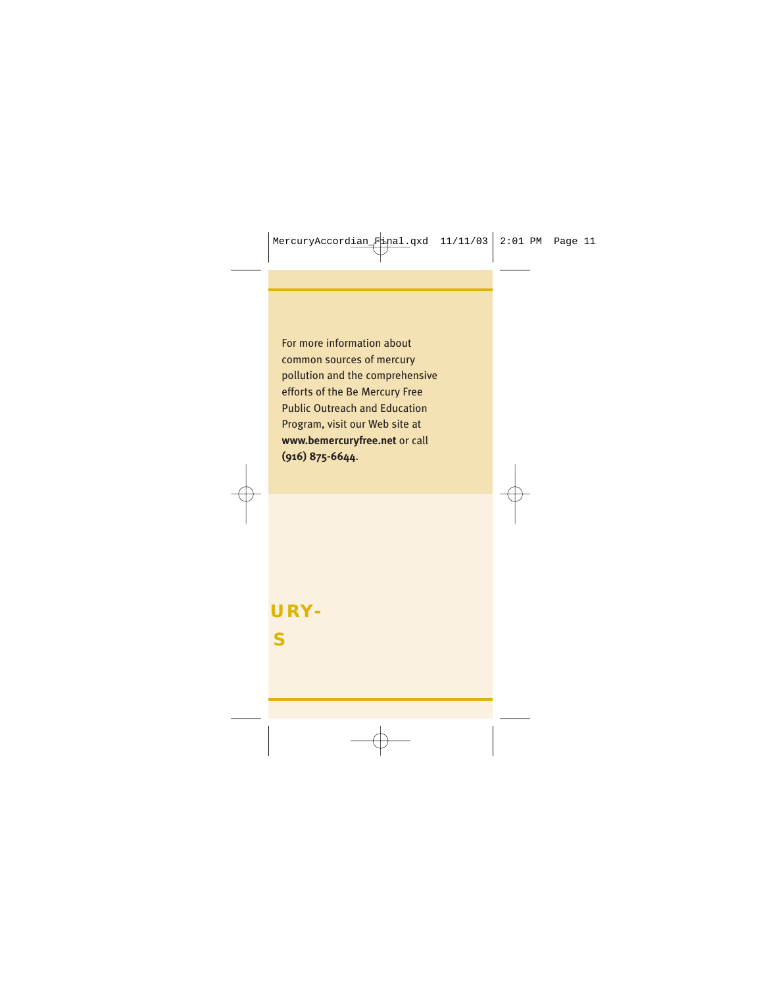For more information about common sources of mercury pollution and the comprehensive efforts of the Be Mercury Free Public Outreach and Education Program, visit our Web site at **www.bemercuryfree.net** or call **(916) 875-6644**.

# **CURY-MS**